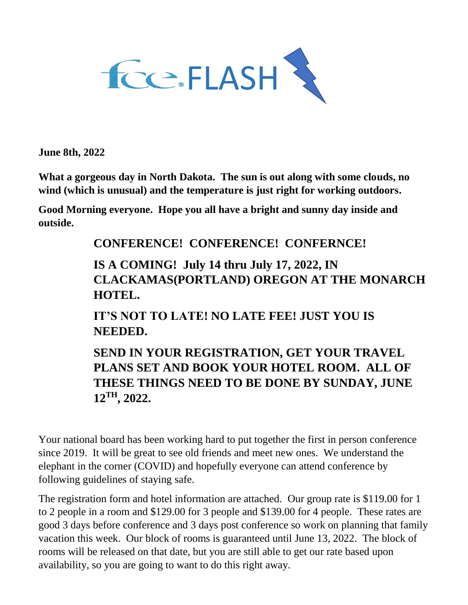

**June 8th, 2022**

**What a gorgeous day in North Dakota. The sun is out along with some clouds, no wind (which is unusual) and the temperature is just right for working outdoors.**

**Good Morning everyone. Hope you all have a bright and sunny day inside and outside.** 

## **CONFERENCE! CONFERENCE! CONFERNCE!**

**IS A COMING! July 14 thru July 17, 2022, IN CLACKAMAS(PORTLAND) OREGON AT THE MONARCH HOTEL.**

**IT'S NOT TO LATE! NO LATE FEE! JUST YOU IS NEEDED.**

**SEND IN YOUR REGISTRATION, GET YOUR TRAVEL PLANS SET AND BOOK YOUR HOTEL ROOM. ALL OF THESE THINGS NEED TO BE DONE BY SUNDAY, JUNE 12TH, 2022.**

Your national board has been working hard to put together the first in person conference since 2019. It will be great to see old friends and meet new ones. We understand the elephant in the corner (COVID) and hopefully everyone can attend conference by following guidelines of staying safe.

The registration form and hotel information are attached. Our group rate is \$119.00 for 1 to 2 people in a room and \$129.00 for 3 people and \$139.00 for 4 people. These rates are good 3 days before conference and 3 days post conference so work on planning that family vacation this week. Our block of rooms is guaranteed until June 13, 2022. The block of rooms will be released on that date, but you are still able to get our rate based upon availability, so you are going to want to do this right away.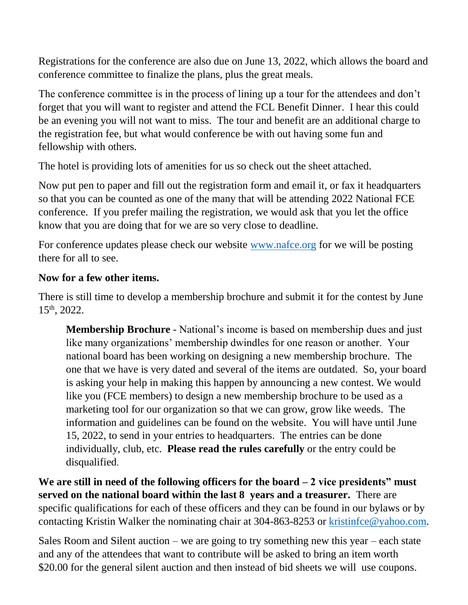Registrations for the conference are also due on June 13, 2022, which allows the board and conference committee to finalize the plans, plus the great meals.

The conference committee is in the process of lining up a tour for the attendees and don't forget that you will want to register and attend the FCL Benefit Dinner. I hear this could be an evening you will not want to miss. The tour and benefit are an additional charge to the registration fee, but what would conference be with out having some fun and fellowship with others.

The hotel is providing lots of amenities for us so check out the sheet attached.

Now put pen to paper and fill out the registration form and email it, or fax it headquarters so that you can be counted as one of the many that will be attending 2022 National FCE conference. If you prefer mailing the registration, we would ask that you let the office know that you are doing that for we are so very close to deadline.

For conference updates please check our website [www.nafce.org](http://www.nafce.org/) for we will be posting there for all to see.

## **Now for a few other items.**

There is still time to develop a membership brochure and submit it for the contest by June 15th, 2022.

**Membership Brochure** - National's income is based on membership dues and just like many organizations' membership dwindles for one reason or another. Your national board has been working on designing a new membership brochure. The one that we have is very dated and several of the items are outdated. So, your board is asking your help in making this happen by announcing a new contest. We would like you (FCE members) to design a new membership brochure to be used as a marketing tool for our organization so that we can grow, grow like weeds. The information and guidelines can be found on the website. You will have until June 15, 2022, to send in your entries to headquarters. The entries can be done individually, club, etc. **Please read the rules carefully** or the entry could be disqualified.

**We are still in need of the following officers for the board – 2 vice presidents" must served on the national board within the last 8 years and a treasurer.** There are specific qualifications for each of these officers and they can be found in our bylaws or by contacting Kristin Walker the nominating chair at 304-863-8253 or [kristinfce@yahoo.com.](mailto:kristinfce@yahoo.com)

Sales Room and Silent auction – we are going to try something new this year – each state and any of the attendees that want to contribute will be asked to bring an item worth \$20.00 for the general silent auction and then instead of bid sheets we will use coupons.